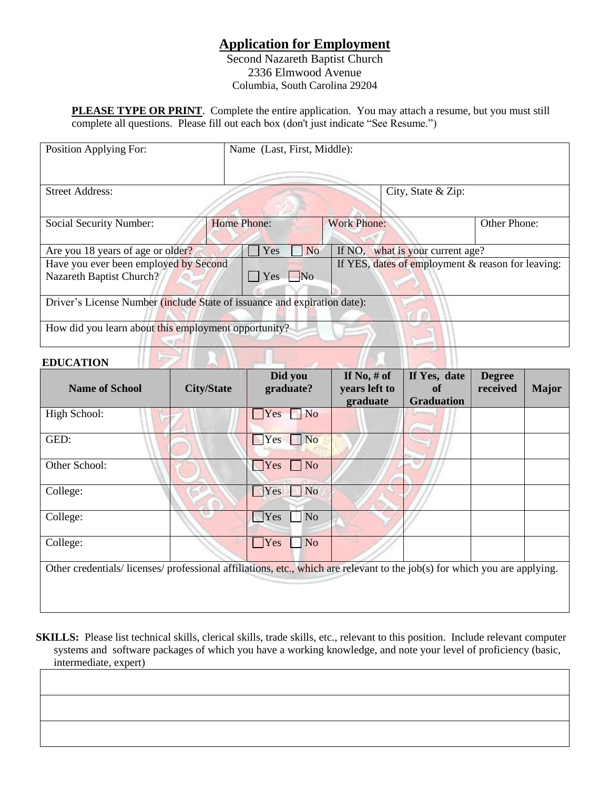## **Application for Employment**

Second Nazareth Baptist Church 2336 Elmwood Avenue Columbia, South Carolina 29204

**PLEASE TYPE OR PRINT**. Complete the entire application. You may attach a resume, but you must still complete all questions. Please fill out each box (don't just indicate "See Resume.")

| Position Applying For:                                                   | Name (Last, First, Middle): |                                                   |              |  |  |  |  |
|--------------------------------------------------------------------------|-----------------------------|---------------------------------------------------|--------------|--|--|--|--|
| <b>Street Address:</b>                                                   |                             | City, State & Zip:                                |              |  |  |  |  |
|                                                                          |                             |                                                   |              |  |  |  |  |
| Social Security Number:                                                  | Home Phone:                 | <b>Work Phone:</b>                                | Other Phone: |  |  |  |  |
| Are you 18 years of age or older?                                        | Yes<br>N <sub>o</sub>       | what is your current age?<br>If NO.               |              |  |  |  |  |
| Have you ever been employed by Second                                    |                             | If YES, dates of employment & reason for leaving: |              |  |  |  |  |
| Nazareth Baptist Church?                                                 | $Yes$ No                    |                                                   |              |  |  |  |  |
| Driver's License Number (include State of issuance and expiration date): |                             |                                                   |              |  |  |  |  |
| How did you learn about this employment opportunity?                     |                             |                                                   |              |  |  |  |  |

## **EDUCATION**

 $||\rightarrow ||$ 

| <b>Name of School</b>                                                                                                    | <b>City/State</b> | Did you<br>graduate?                 | If No, $#$ of<br>years left to | If Yes, date<br>of | <b>Degree</b><br>received | <b>Major</b> |
|--------------------------------------------------------------------------------------------------------------------------|-------------------|--------------------------------------|--------------------------------|--------------------|---------------------------|--------------|
|                                                                                                                          |                   |                                      | graduate                       | <b>Graduation</b>  |                           |              |
| High School:                                                                                                             |                   | Yes<br>$\n  No\n$                    |                                |                    |                           |              |
| GED:                                                                                                                     |                   | $\blacksquare$ No<br>Yes             |                                |                    |                           |              |
| Other School:                                                                                                            |                   | <b>Yes</b><br>N <sub>o</sub>         |                                |                    |                           |              |
| College:                                                                                                                 |                   | $\bigcap$ Yes<br>N <sub>0</sub>      |                                |                    |                           |              |
| College:                                                                                                                 |                   | $\blacksquare$ Yes<br>N <sub>o</sub> |                                |                    |                           |              |
| College:                                                                                                                 |                   | $\bigcap$ Yes<br>N <sub>o</sub>      |                                |                    |                           |              |
| Other credentials/licenses/professional affiliations, etc., which are relevant to the job(s) for which you are applying. |                   |                                      |                                |                    |                           |              |

**SKILLS:** Please list technical skills, clerical skills, trade skills, etc., relevant to this position. Include relevant computer systems and software packages of which you have a working knowledge, and note your level of proficiency (basic, intermediate, expert)